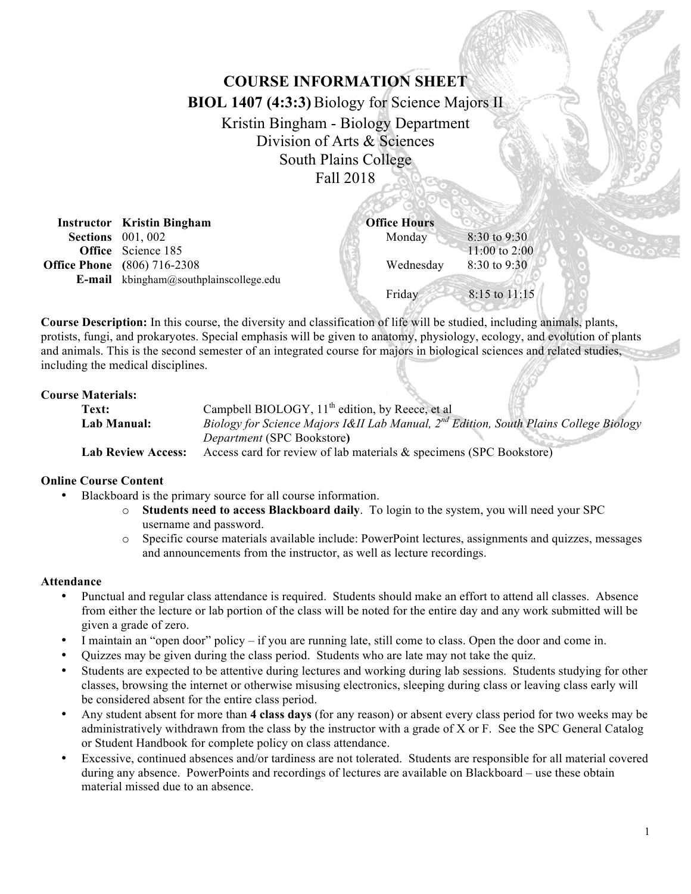# **COURSE INFORMATION SHEET**

**BIOL 1407 (4:3:3)**Biology for Science Majors II

# Kristin Bingham - Biology Department Division of Arts & Sciences South Plains College Fall 2018

| <b>Instructor</b> Kristin Bingham             | <b>Office Hours</b> |                   |
|-----------------------------------------------|---------------------|-------------------|
| <b>Sections</b> 001, 002                      | Monday              | $8:30$ to 9:30    |
| <b>Office</b> Science 185                     |                     | 11:00 to 2:00     |
| <b>Office Phone</b> (806) 716-2308            | Wednesday           | 8:30 to 9:30      |
| <b>E-mail</b> kbingham@southplainscollege.edu |                     |                   |
|                                               | Friday              | $8:15$ to $11:15$ |
|                                               |                     |                   |

**Course Description:** In this course, the diversity and classification of life will be studied, including animals, plants, protists, fungi, and prokaryotes. Special emphasis will be given to anatomy, physiology, ecology, and evolution of plants and animals. This is the second semester of an integrated course for majors in biological sciences and related studies, including the medical disciplines.

## **Course Materials:**

| Text:                     | Campbell BIOLOGY, 11 <sup>th</sup> edition, by Reece, et al                                |  |
|---------------------------|--------------------------------------------------------------------------------------------|--|
| Lab Manual:               | Biology for Science Majors I&II Lab Manual, $2^{nd}$ Edition, South Plains College Biology |  |
|                           | <i>Department</i> (SPC Bookstore)                                                          |  |
| <b>Lab Review Access:</b> | Access card for review of lab materials $\&$ specimens (SPC Bookstore)                     |  |

#### **Online Course Content**

- Blackboard is the primary source for all course information.
	- o **Students need to access Blackboard daily**. To login to the system, you will need your SPC username and password.
	- o Specific course materials available include: PowerPoint lectures, assignments and quizzes, messages and announcements from the instructor, as well as lecture recordings.

#### **Attendance**

- Punctual and regular class attendance is required. Students should make an effort to attend all classes. Absence from either the lecture or lab portion of the class will be noted for the entire day and any work submitted will be given a grade of zero.
- I maintain an "open door" policy if you are running late, still come to class. Open the door and come in.
- Quizzes may be given during the class period. Students who are late may not take the quiz.
- Students are expected to be attentive during lectures and working during lab sessions. Students studying for other classes, browsing the internet or otherwise misusing electronics, sleeping during class or leaving class early will be considered absent for the entire class period.
- Any student absent for more than **4 class days** (for any reason) or absent every class period for two weeks may be administratively withdrawn from the class by the instructor with a grade of X or F. See the SPC General Catalog or Student Handbook for complete policy on class attendance.
- Excessive, continued absences and/or tardiness are not tolerated. Students are responsible for all material covered during any absence. PowerPoints and recordings of lectures are available on Blackboard – use these obtain material missed due to an absence.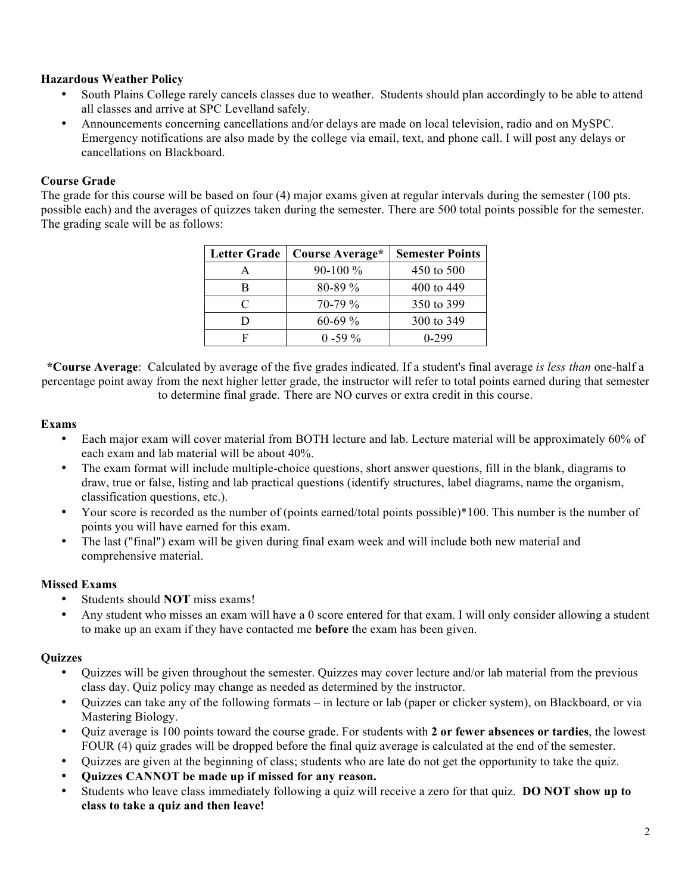## **Hazardous Weather Policy**

- South Plains College rarely cancels classes due to weather. Students should plan accordingly to be able to attend all classes and arrive at SPC Levelland safely.
- Announcements concerning cancellations and/or delays are made on local television, radio and on MySPC. Emergency notifications are also made by the college via email, text, and phone call. I will post any delays or cancellations on Blackboard.

## **Course Grade**

The grade for this course will be based on four (4) major exams given at regular intervals during the semester (100 pts. possible each) and the averages of quizzes taken during the semester. There are 500 total points possible for the semester. The grading scale will be as follows:

| <b>Letter Grade</b> | Course Average* | <b>Semester Points</b> |
|---------------------|-----------------|------------------------|
| А                   | $90-100\%$      | 450 to 500             |
| В                   | $80 - 89\%$     | 400 to 449             |
| C                   | $70-79\%$       | 350 to 399             |
| וו                  | $60-69%$        | 300 to 349             |
| F                   | $0 - 59\%$      | 0-299                  |

**\*Course Average**: Calculated by average of the five grades indicated. If a student's final average *is less than* one-half a percentage point away from the next higher letter grade, the instructor will refer to total points earned during that semester to determine final grade. There are NO curves or extra credit in this course.

## **Exams**

- Each major exam will cover material from BOTH lecture and lab. Lecture material will be approximately 60% of each exam and lab material will be about 40%.
- The exam format will include multiple-choice questions, short answer questions, fill in the blank, diagrams to draw, true or false, listing and lab practical questions (identify structures, label diagrams, name the organism, classification questions, etc.).
- Your score is recorded as the number of (points earned/total points possible)\*100. This number is the number of points you will have earned for this exam.
- The last ("final") exam will be given during final exam week and will include both new material and comprehensive material.

## **Missed Exams**

- Students should **NOT** miss exams!
- Any student who misses an exam will have a 0 score entered for that exam. I will only consider allowing a student to make up an exam if they have contacted me **before** the exam has been given.

## **Quizzes**

- Quizzes will be given throughout the semester. Quizzes may cover lecture and/or lab material from the previous class day. Quiz policy may change as needed as determined by the instructor.
- Quizzes can take any of the following formats in lecture or lab (paper or clicker system), on Blackboard, or via Mastering Biology.
- Quiz average is 100 points toward the course grade. For students with **2 or fewer absences or tardies**, the lowest FOUR (4) quiz grades will be dropped before the final quiz average is calculated at the end of the semester.
- Quizzes are given at the beginning of class; students who are late do not get the opportunity to take the quiz.
- **Quizzes CANNOT be made up if missed for any reason.**
- Students who leave class immediately following a quiz will receive a zero for that quiz. **DO NOT show up to class to take a quiz and then leave!**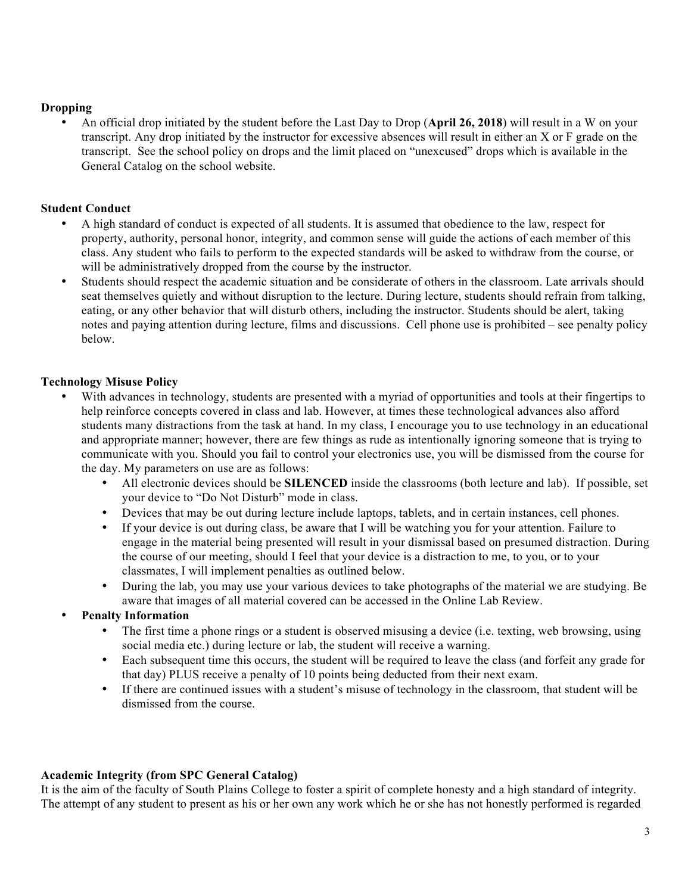#### **Dropping**

• An official drop initiated by the student before the Last Day to Drop (**April 26, 2018**) will result in a W on your transcript. Any drop initiated by the instructor for excessive absences will result in either an X or F grade on the transcript. See the school policy on drops and the limit placed on "unexcused" drops which is available in the General Catalog on the school website.

## **Student Conduct**

- A high standard of conduct is expected of all students. It is assumed that obedience to the law, respect for property, authority, personal honor, integrity, and common sense will guide the actions of each member of this class. Any student who fails to perform to the expected standards will be asked to withdraw from the course, or will be administratively dropped from the course by the instructor.
- Students should respect the academic situation and be considerate of others in the classroom. Late arrivals should seat themselves quietly and without disruption to the lecture. During lecture, students should refrain from talking, eating, or any other behavior that will disturb others, including the instructor. Students should be alert, taking notes and paying attention during lecture, films and discussions. Cell phone use is prohibited – see penalty policy below.

## **Technology Misuse Policy**

- With advances in technology, students are presented with a myriad of opportunities and tools at their fingertips to help reinforce concepts covered in class and lab. However, at times these technological advances also afford students many distractions from the task at hand. In my class, I encourage you to use technology in an educational and appropriate manner; however, there are few things as rude as intentionally ignoring someone that is trying to communicate with you. Should you fail to control your electronics use, you will be dismissed from the course for the day. My parameters on use are as follows:
	- All electronic devices should be **SILENCED** inside the classrooms (both lecture and lab). If possible, set your device to "Do Not Disturb" mode in class.
	- Devices that may be out during lecture include laptops, tablets, and in certain instances, cell phones.
	- If your device is out during class, be aware that I will be watching you for your attention. Failure to engage in the material being presented will result in your dismissal based on presumed distraction. During the course of our meeting, should I feel that your device is a distraction to me, to you, or to your classmates, I will implement penalties as outlined below.
	- During the lab, you may use your various devices to take photographs of the material we are studying. Be aware that images of all material covered can be accessed in the Online Lab Review.
- **Penalty Information**
	- The first time a phone rings or a student is observed misusing a device (i.e. texting, web browsing, using social media etc.) during lecture or lab, the student will receive a warning.
	- Each subsequent time this occurs, the student will be required to leave the class (and forfeit any grade for that day) PLUS receive a penalty of 10 points being deducted from their next exam.
	- If there are continued issues with a student's misuse of technology in the classroom, that student will be dismissed from the course.

## **Academic Integrity (from SPC General Catalog)**

It is the aim of the faculty of South Plains College to foster a spirit of complete honesty and a high standard of integrity. The attempt of any student to present as his or her own any work which he or she has not honestly performed is regarded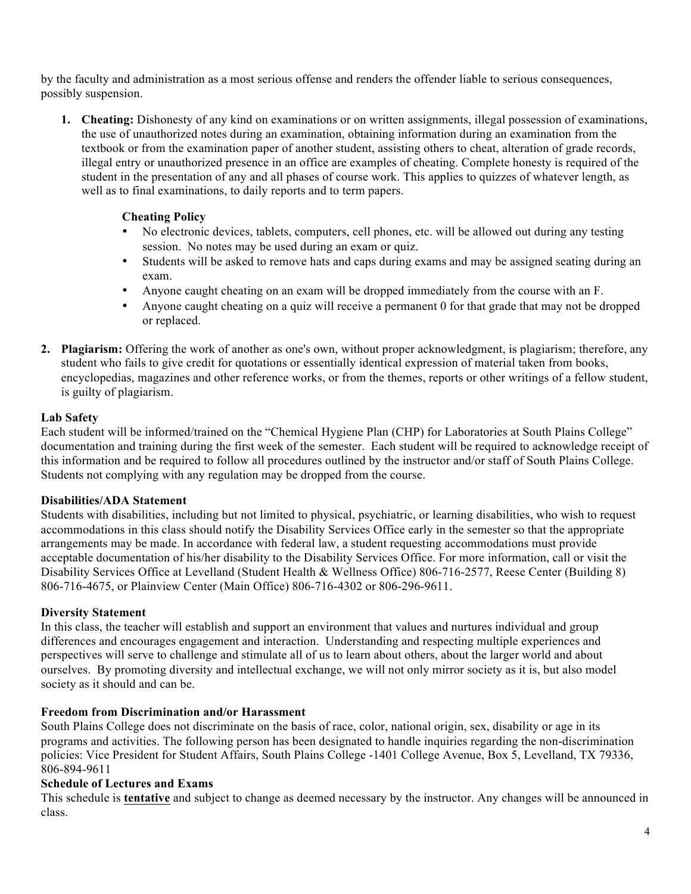by the faculty and administration as a most serious offense and renders the offender liable to serious consequences, possibly suspension.

**1. Cheating:** Dishonesty of any kind on examinations or on written assignments, illegal possession of examinations, the use of unauthorized notes during an examination, obtaining information during an examination from the textbook or from the examination paper of another student, assisting others to cheat, alteration of grade records, illegal entry or unauthorized presence in an office are examples of cheating. Complete honesty is required of the student in the presentation of any and all phases of course work. This applies to quizzes of whatever length, as well as to final examinations, to daily reports and to term papers.

## **Cheating Policy**

- No electronic devices, tablets, computers, cell phones, etc. will be allowed out during any testing session. No notes may be used during an exam or quiz.
- Students will be asked to remove hats and caps during exams and may be assigned seating during an exam.
- Anyone caught cheating on an exam will be dropped immediately from the course with an F.
- Anyone caught cheating on a quiz will receive a permanent 0 for that grade that may not be dropped or replaced.
- **2. Plagiarism:** Offering the work of another as one's own, without proper acknowledgment, is plagiarism; therefore, any student who fails to give credit for quotations or essentially identical expression of material taken from books, encyclopedias, magazines and other reference works, or from the themes, reports or other writings of a fellow student, is guilty of plagiarism.

## **Lab Safety**

Each student will be informed/trained on the "Chemical Hygiene Plan (CHP) for Laboratories at South Plains College" documentation and training during the first week of the semester. Each student will be required to acknowledge receipt of this information and be required to follow all procedures outlined by the instructor and/or staff of South Plains College. Students not complying with any regulation may be dropped from the course.

## **Disabilities/ADA Statement**

Students with disabilities, including but not limited to physical, psychiatric, or learning disabilities, who wish to request accommodations in this class should notify the Disability Services Office early in the semester so that the appropriate arrangements may be made. In accordance with federal law, a student requesting accommodations must provide acceptable documentation of his/her disability to the Disability Services Office. For more information, call or visit the Disability Services Office at Levelland (Student Health & Wellness Office) 806-716-2577, Reese Center (Building 8) 806-716-4675, or Plainview Center (Main Office) 806-716-4302 or 806-296-9611.

#### **Diversity Statement**

In this class, the teacher will establish and support an environment that values and nurtures individual and group differences and encourages engagement and interaction. Understanding and respecting multiple experiences and perspectives will serve to challenge and stimulate all of us to learn about others, about the larger world and about ourselves. By promoting diversity and intellectual exchange, we will not only mirror society as it is, but also model society as it should and can be.

#### **Freedom from Discrimination and/or Harassment**

South Plains College does not discriminate on the basis of race, color, national origin, sex, disability or age in its programs and activities. The following person has been designated to handle inquiries regarding the non-discrimination policies: Vice President for Student Affairs, South Plains College -1401 College Avenue, Box 5, Levelland, TX 79336, 806-894-9611

#### **Schedule of Lectures and Exams**

This schedule is **tentative** and subject to change as deemed necessary by the instructor. Any changes will be announced in class.